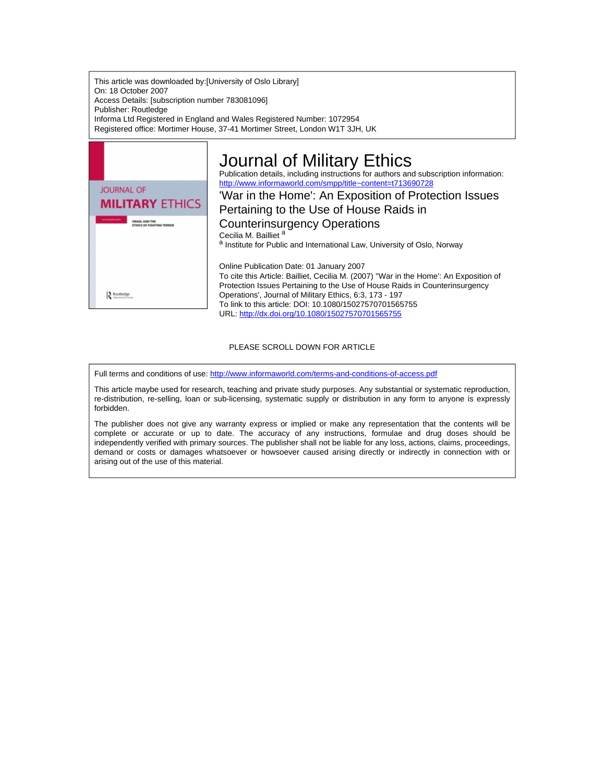This article was downloaded by:[University of Oslo Library] On: 18 October 2007 Access Details: [subscription number 783081096] Publisher: Routledge Informa Ltd Registered in England and Wales Registered Number: 1072954 Registered office: Mortimer House, 37-41 Mortimer Street, London W1T 3JH, UK



#### PLEASE SCROLL DOWN FOR ARTICLE

Full terms and conditions of use: <http://www.informaworld.com/terms-and-conditions-of-access.pdf>

This article maybe used for research, teaching and private study purposes. Any substantial or systematic reproduction, re-distribution, re-selling, loan or sub-licensing, systematic supply or distribution in any form to anyone is expressly forbidden.

The publisher does not give any warranty express or implied or make any representation that the contents will be complete or accurate or up to date. The accuracy of any instructions, formulae and drug doses should be independently verified with primary sources. The publisher shall not be liable for any loss, actions, claims, proceedings, demand or costs or damages whatsoever or howsoever caused arising directly or indirectly in connection with or arising out of the use of this material.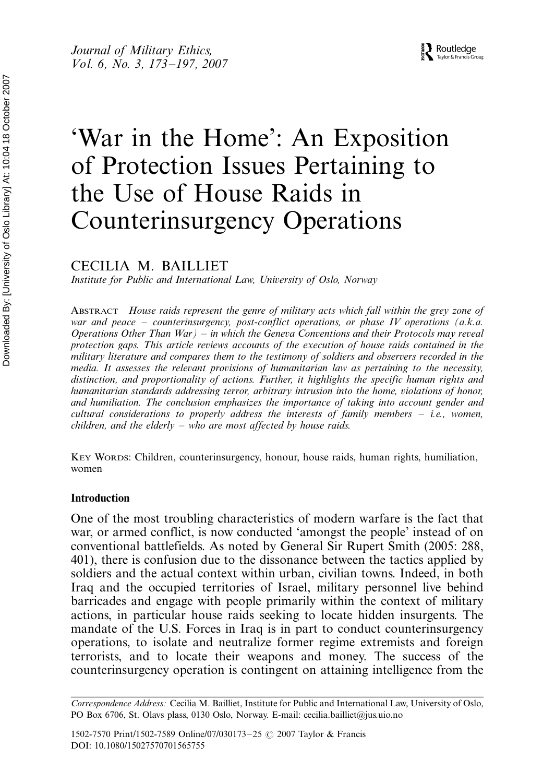Journal of Military Ethics, Vol. 6, No. 3, 173-197, 2007

# 'War in the Home': An Exposition of Protection Issues Pertaining to the Use of House Raids in Counterinsurgency Operations

CECILIA M. BAILLIET

Institute for Public and International Law, University of Oslo, Norway

ABSTRACT House raids represent the genre of military acts which fall within the grey zone of war and peace  $-$  counterinsurgency, post-conflict operations, or phase IV operations (a.k.a. Operations Other Than War) – in which the Geneva Conventions and their Protocols may reveal protection gaps. This article reviews accounts of the execution of house raids contained in the military literature and compares them to the testimony of soldiers and observers recorded in the media. It assesses the relevant provisions of humanitarian law as pertaining to the necessity, distinction, and proportionality of actions. Further, it highlights the specific human rights and humanitarian standards addressing terror, arbitrary intrusion into the home, violations of honor, and humiliation. The conclusion emphasizes the importance of taking into account gender and cultural considerations to properly address the interests of family members  $-$  i.e., women, children, and the elderly  $-$  who are most affected by house raids.

KEY WORDS: Children, counterinsurgency, honour, house raids, human rights, humiliation, women

# Introduction

One of the most troubling characteristics of modern warfare is the fact that war, or armed conflict, is now conducted 'amongst the people' instead of on conventional battlefields. As noted by General Sir Rupert Smith (2005: 288, 401), there is confusion due to the dissonance between the tactics applied by soldiers and the actual context within urban, civilian towns. Indeed, in both Iraq and the occupied territories of Israel, military personnel live behind barricades and engage with people primarily within the context of military actions, in particular house raids seeking to locate hidden insurgents. The mandate of the U.S. Forces in Iraq is in part to conduct counterinsurgency operations, to isolate and neutralize former regime extremists and foreign terrorists, and to locate their weapons and money. The success of the counterinsurgency operation is contingent on attaining intelligence from the

Correspondence Address: Cecilia M. Bailliet, Institute for Public and International Law, University of Oslo, PO Box 6706, St. Olavs plass, 0130 Oslo, Norway. E-mail: cecilia.bailliet@jus.uio.no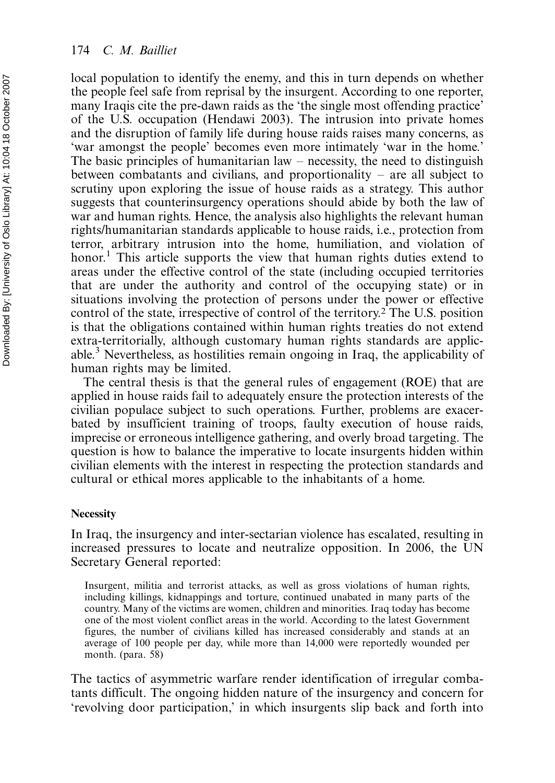local population to identify the enemy, and this in turn depends on whether the people feel safe from reprisal by the insurgent. According to one reporter, many Iraqis cite the pre-dawn raids as the 'the single most offending practice' of the U.S. occupation (Hendawi 2003). The intrusion into private homes and the disruption of family life during house raids raises many concerns, as 'war amongst the people' becomes even more intimately 'war in the home.' The basic principles of humanitarian law  $-$  necessity, the need to distinguish between combatants and civilians, and proportionality  $-$  are all subject to scrutiny upon exploring the issue of house raids as a strategy. This author suggests that counterinsurgency operations should abide by both the law of war and human rights. Hence, the analysis also highlights the relevant human rights/humanitarian standards applicable to house raids, i.e., protection from terror, arbitrary intrusion into the home, humiliation, and violation of honor.<sup>1</sup> This article supports the view that human rights duties extend to areas under the effective control of the state (including occupied territories that are under the authority and control of the occupying state) or in situations involving the protection of persons under the power or effective control of the state, irrespective of control of the territory.2 The U.S. position is that the obligations contained within human rights treaties do not extend extra-territorially, although customary human rights standards are applicable.<sup>3</sup> Nevertheless, as hostilities remain ongoing in Iraq, the applicability of human rights may be limited.

The central thesis is that the general rules of engagement (ROE) that are applied in house raids fail to adequately ensure the protection interests of the civilian populace subject to such operations. Further, problems are exacerbated by insufficient training of troops, faulty execution of house raids, imprecise or erroneous intelligence gathering, and overly broad targeting. The question is how to balance the imperative to locate insurgents hidden within civilian elements with the interest in respecting the protection standards and cultural or ethical mores applicable to the inhabitants of a home.

#### **Necessity**

In Iraq, the insurgency and inter-sectarian violence has escalated, resulting in increased pressures to locate and neutralize opposition. In 2006, the UN Secretary General reported:

Insurgent, militia and terrorist attacks, as well as gross violations of human rights, including killings, kidnappings and torture, continued unabated in many parts of the country. Many of the victims are women, children and minorities. Iraq today has become one of the most violent conflict areas in the world. According to the latest Government figures, the number of civilians killed has increased considerably and stands at an average of 100 people per day, while more than 14,000 were reportedly wounded per month. (para. 58)

The tactics of asymmetric warfare render identification of irregular combatants difficult. The ongoing hidden nature of the insurgency and concern for 'revolving door participation,' in which insurgents slip back and forth into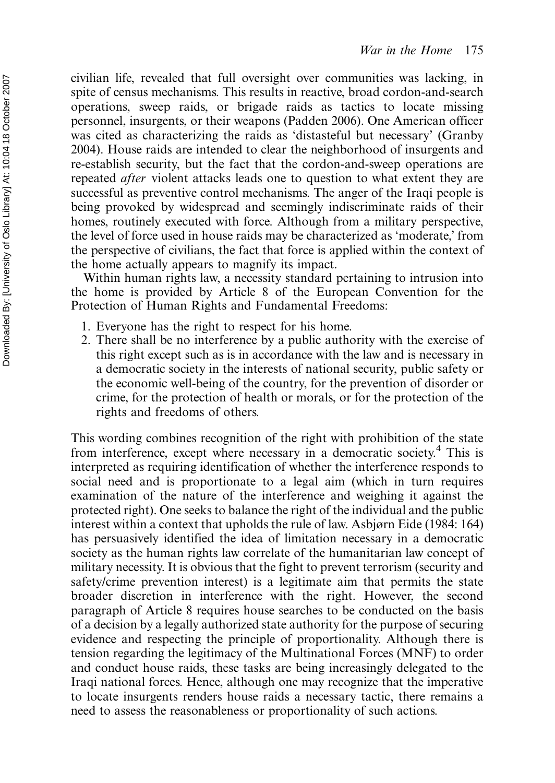civilian life, revealed that full oversight over communities was lacking, in spite of census mechanisms. This results in reactive, broad cordon-and-search operations, sweep raids, or brigade raids as tactics to locate missing personnel, insurgents, or their weapons (Padden 2006). One American officer was cited as characterizing the raids as 'distasteful but necessary' (Granby 2004). House raids are intended to clear the neighborhood of insurgents and re-establish security, but the fact that the cordon-and-sweep operations are repeated *after* violent attacks leads one to question to what extent they are successful as preventive control mechanisms. The anger of the Iraqi people is being provoked by widespread and seemingly indiscriminate raids of their homes, routinely executed with force. Although from a military perspective, the level of force used in house raids may be characterized as 'moderate,' from the perspective of civilians, the fact that force is applied within the context of the home actually appears to magnify its impact.

Within human rights law, a necessity standard pertaining to intrusion into the home is provided by Article 8 of the European Convention for the Protection of Human Rights and Fundamental Freedoms:

- 1. Everyone has the right to respect for his home.
- 2. There shall be no interference by a public authority with the exercise of this right except such as is in accordance with the law and is necessary in a democratic society in the interests of national security, public safety or the economic well-being of the country, for the prevention of disorder or crime, for the protection of health or morals, or for the protection of the rights and freedoms of others.

This wording combines recognition of the right with prohibition of the state from interference, except where necessary in a democratic society.<sup>4</sup> This is interpreted as requiring identification of whether the interference responds to social need and is proportionate to a legal aim (which in turn requires examination of the nature of the interference and weighing it against the protected right). One seeks to balance the right of the individual and the public interest within a context that upholds the rule of law. Asbjørn Eide (1984: 164) has persuasively identified the idea of limitation necessary in a democratic society as the human rights law correlate of the humanitarian law concept of military necessity. It is obvious that the fight to prevent terrorism (security and safety/crime prevention interest) is a legitimate aim that permits the state broader discretion in interference with the right. However, the second paragraph of Article 8 requires house searches to be conducted on the basis of a decision by a legally authorized state authority for the purpose of securing evidence and respecting the principle of proportionality. Although there is tension regarding the legitimacy of the Multinational Forces (MNF) to order and conduct house raids, these tasks are being increasingly delegated to the Iraqi national forces. Hence, although one may recognize that the imperative to locate insurgents renders house raids a necessary tactic, there remains a need to assess the reasonableness or proportionality of such actions.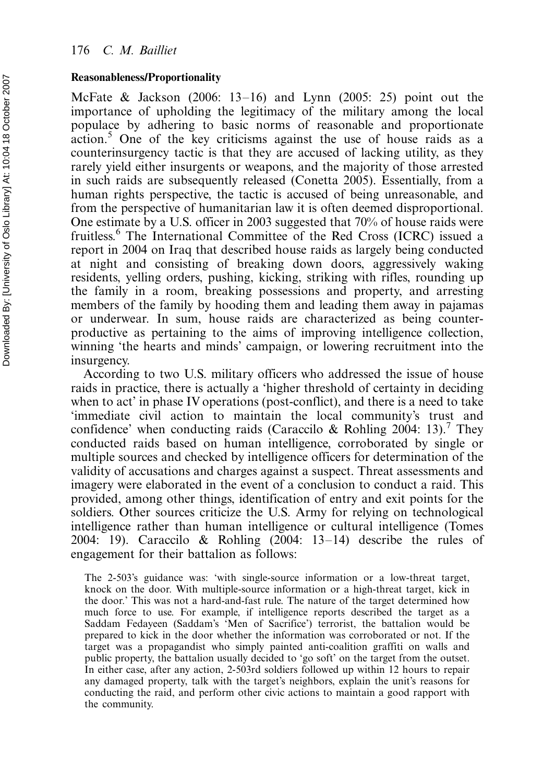#### Reasonableness/Proportionality

McFate & Jackson (2006: 13–16) and Lynn (2005: 25) point out the importance of upholding the legitimacy of the military among the local populace by adhering to basic norms of reasonable and proportionate action.<sup>5</sup> One of the key criticisms against the use of house raids as a counterinsurgency tactic is that they are accused of lacking utility, as they rarely yield either insurgents or weapons, and the majority of those arrested in such raids are subsequently released (Conetta 2005). Essentially, from a human rights perspective, the tactic is accused of being unreasonable, and from the perspective of humanitarian law it is often deemed disproportional. One estimate by a U.S. officer in 2003 suggested that 70% of house raids were fruitless.6 The International Committee of the Red Cross (ICRC) issued a report in 2004 on Iraq that described house raids as largely being conducted at night and consisting of breaking down doors, aggressively waking residents, yelling orders, pushing, kicking, striking with rifles, rounding up the family in a room, breaking possessions and property, and arresting members of the family by hooding them and leading them away in pajamas or underwear. In sum, house raids are characterized as being counterproductive as pertaining to the aims of improving intelligence collection, winning 'the hearts and minds' campaign, or lowering recruitment into the insurgency.

According to two U.S. military officers who addressed the issue of house raids in practice, there is actually a 'higher threshold of certainty in deciding when to act' in phase IV operations (post-conflict), and there is a need to take 'immediate civil action to maintain the local community's trust and confidence' when conducting raids (Caraccilo & Rohling 2004: 13).<sup>7</sup> They conducted raids based on human intelligence, corroborated by single or multiple sources and checked by intelligence officers for determination of the validity of accusations and charges against a suspect. Threat assessments and imagery were elaborated in the event of a conclusion to conduct a raid. This provided, among other things, identification of entry and exit points for the soldiers. Other sources criticize the U.S. Army for relying on technological intelligence rather than human intelligence or cultural intelligence (Tomes 2004: 19). Caraccilo & Rohling  $(2004: 13-14)$  describe the rules of engagement for their battalion as follows:

The 2-503's guidance was: 'with single-source information or a low-threat target, knock on the door. With multiple-source information or a high-threat target, kick in the door.' This was not a hard-and-fast rule. The nature of the target determined how much force to use. For example, if intelligence reports described the target as a Saddam Fedayeen (Saddam's 'Men of Sacrifice') terrorist, the battalion would be prepared to kick in the door whether the information was corroborated or not. If the target was a propagandist who simply painted anti-coalition graffiti on walls and public property, the battalion usually decided to 'go soft' on the target from the outset. In either case, after any action, 2-503rd soldiers followed up within 12 hours to repair any damaged property, talk with the target's neighbors, explain the unit's reasons for conducting the raid, and perform other civic actions to maintain a good rapport with the community.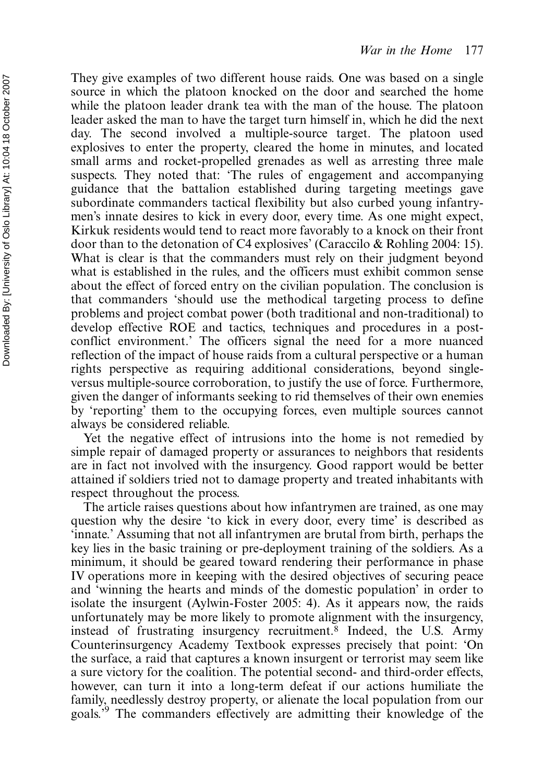They give examples of two different house raids. One was based on a single source in which the platoon knocked on the door and searched the home while the platoon leader drank tea with the man of the house. The platoon leader asked the man to have the target turn himself in, which he did the next day. The second involved a multiple-source target. The platoon used explosives to enter the property, cleared the home in minutes, and located small arms and rocket-propelled grenades as well as arresting three male suspects. They noted that: 'The rules of engagement and accompanying guidance that the battalion established during targeting meetings gave subordinate commanders tactical flexibility but also curbed young infantrymen's innate desires to kick in every door, every time. As one might expect, Kirkuk residents would tend to react more favorably to a knock on their front door than to the detonation of C4 explosives' (Caraccilo & Rohling 2004: 15). What is clear is that the commanders must rely on their judgment beyond what is established in the rules, and the officers must exhibit common sense about the effect of forced entry on the civilian population. The conclusion is that commanders 'should use the methodical targeting process to define problems and project combat power (both traditional and non-traditional) to develop effective ROE and tactics, techniques and procedures in a postconflict environment.' The officers signal the need for a more nuanced reflection of the impact of house raids from a cultural perspective or a human rights perspective as requiring additional considerations, beyond singleversus multiple-source corroboration, to justify the use of force. Furthermore, given the danger of informants seeking to rid themselves of their own enemies by 'reporting' them to the occupying forces, even multiple sources cannot always be considered reliable.

Yet the negative effect of intrusions into the home is not remedied by simple repair of damaged property or assurances to neighbors that residents are in fact not involved with the insurgency. Good rapport would be better attained if soldiers tried not to damage property and treated inhabitants with respect throughout the process.

The article raises questions about how infantrymen are trained, as one may question why the desire 'to kick in every door, every time' is described as 'innate.' Assuming that not all infantrymen are brutal from birth, perhaps the key lies in the basic training or pre-deployment training of the soldiers. As a minimum, it should be geared toward rendering their performance in phase IV operations more in keeping with the desired objectives of securing peace and 'winning the hearts and minds of the domestic population' in order to isolate the insurgent (Aylwin-Foster 2005: 4). As it appears now, the raids unfortunately may be more likely to promote alignment with the insurgency, instead of frustrating insurgency recruitment.8 Indeed, the U.S. Army Counterinsurgency Academy Textbook expresses precisely that point: 'On the surface, a raid that captures a known insurgent or terrorist may seem like a sure victory for the coalition. The potential second- and third-order effects, however, can turn it into a long-term defeat if our actions humiliate the family, needlessly destroy property, or alienate the local population from our goals.'<sup>9</sup> The commanders effectively are admitting their knowledge of the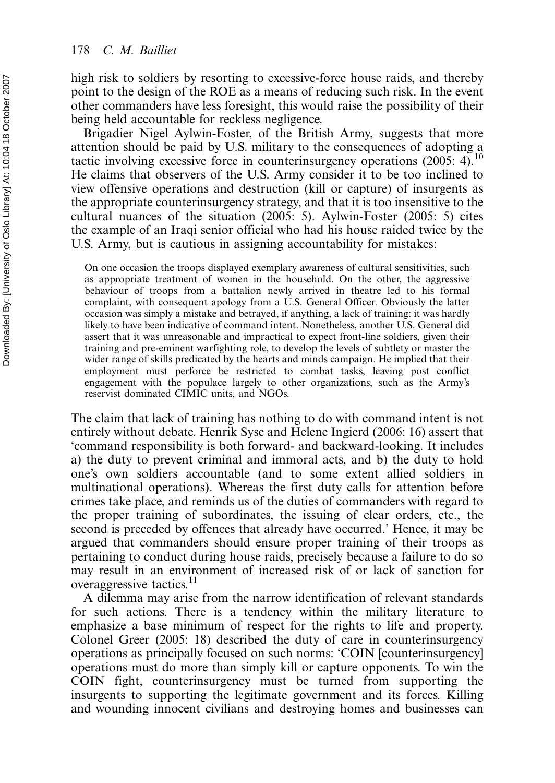high risk to soldiers by resorting to excessive-force house raids, and thereby point to the design of the ROE as a means of reducing such risk. In the event other commanders have less foresight, this would raise the possibility of their being held accountable for reckless negligence.

Brigadier Nigel Aylwin-Foster, of the British Army, suggests that more attention should be paid by U.S. military to the consequences of adopting a tactic involving excessive force in counterinsurgency operations  $(2005: 4)$ .<sup>10</sup> He claims that observers of the U.S. Army consider it to be too inclined to view offensive operations and destruction (kill or capture) of insurgents as the appropriate counterinsurgency strategy, and that it is too insensitive to the cultural nuances of the situation (2005: 5). Aylwin-Foster (2005: 5) cites the example of an Iraqi senior official who had his house raided twice by the U.S. Army, but is cautious in assigning accountability for mistakes:

On one occasion the troops displayed exemplary awareness of cultural sensitivities, such as appropriate treatment of women in the household. On the other, the aggressive behaviour of troops from a battalion newly arrived in theatre led to his formal complaint, with consequent apology from a U.S. General Officer. Obviously the latter occasion was simply a mistake and betrayed, if anything, a lack of training: it was hardly likely to have been indicative of command intent. Nonetheless, another U.S. General did assert that it was unreasonable and impractical to expect front-line soldiers, given their training and pre-eminent warfighting role, to develop the levels of subtlety or master the wider range of skills predicated by the hearts and minds campaign. He implied that their employment must perforce be restricted to combat tasks, leaving post conflict engagement with the populace largely to other organizations, such as the Army's reservist dominated CIMIC units, and NGOs.

The claim that lack of training has nothing to do with command intent is not entirely without debate. Henrik Syse and Helene Ingierd (2006: 16) assert that 'command responsibility is both forward- and backward-looking. It includes a) the duty to prevent criminal and immoral acts, and b) the duty to hold one's own soldiers accountable (and to some extent allied soldiers in multinational operations). Whereas the first duty calls for attention before crimes take place, and reminds us of the duties of commanders with regard to the proper training of subordinates, the issuing of clear orders, etc., the second is preceded by offences that already have occurred.' Hence, it may be argued that commanders should ensure proper training of their troops as pertaining to conduct during house raids, precisely because a failure to do so may result in an environment of increased risk of or lack of sanction for overaggressive tactics.<sup>11</sup>

A dilemma may arise from the narrow identification of relevant standards for such actions. There is a tendency within the military literature to emphasize a base minimum of respect for the rights to life and property. Colonel Greer (2005: 18) described the duty of care in counterinsurgency operations as principally focused on such norms: 'COIN [counterinsurgency] operations must do more than simply kill or capture opponents. To win the COIN fight, counterinsurgency must be turned from supporting the insurgents to supporting the legitimate government and its forces. Killing and wounding innocent civilians and destroying homes and businesses can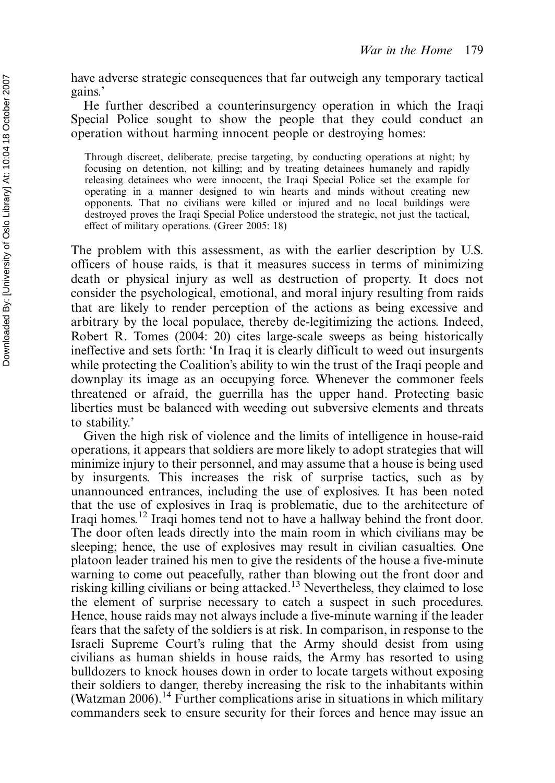have adverse strategic consequences that far outweigh any temporary tactical gains.'

He further described a counterinsurgency operation in which the Iraqi Special Police sought to show the people that they could conduct an operation without harming innocent people or destroying homes:

Through discreet, deliberate, precise targeting, by conducting operations at night; by focusing on detention, not killing; and by treating detainees humanely and rapidly releasing detainees who were innocent, the Iraqi Special Police set the example for operating in a manner designed to win hearts and minds without creating new opponents. That no civilians were killed or injured and no local buildings were destroyed proves the Iraqi Special Police understood the strategic, not just the tactical, effect of military operations. (Greer 2005: 18)

The problem with this assessment, as with the earlier description by U.S. officers of house raids, is that it measures success in terms of minimizing death or physical injury as well as destruction of property. It does not consider the psychological, emotional, and moral injury resulting from raids that are likely to render perception of the actions as being excessive and arbitrary by the local populace, thereby de-legitimizing the actions. Indeed, Robert R. Tomes (2004: 20) cites large-scale sweeps as being historically ineffective and sets forth: 'In Iraq it is clearly difficult to weed out insurgents while protecting the Coalition's ability to win the trust of the Iraqi people and downplay its image as an occupying force. Whenever the commoner feels threatened or afraid, the guerrilla has the upper hand. Protecting basic liberties must be balanced with weeding out subversive elements and threats to stability.'

Given the high risk of violence and the limits of intelligence in house-raid operations, it appears that soldiers are more likely to adopt strategies that will minimize injury to their personnel, and may assume that a house is being used by insurgents. This increases the risk of surprise tactics, such as by unannounced entrances, including the use of explosives. It has been noted that the use of explosives in Iraq is problematic, due to the architecture of Iraqi homes.<sup>12</sup> Iraqi homes tend not to have a hallway behind the front door. The door often leads directly into the main room in which civilians may be sleeping; hence, the use of explosives may result in civilian casualties. One platoon leader trained his men to give the residents of the house a five-minute warning to come out peacefully, rather than blowing out the front door and risking killing civilians or being attacked.13 Nevertheless, they claimed to lose the element of surprise necessary to catch a suspect in such procedures. Hence, house raids may not always include a five-minute warning if the leader fears that the safety of the soldiers is at risk. In comparison, in response to the Israeli Supreme Court's ruling that the Army should desist from using civilians as human shields in house raids, the Army has resorted to using bulldozers to knock houses down in order to locate targets without exposing their soldiers to danger, thereby increasing the risk to the inhabitants within (Watzman 2006).<sup>14</sup> Further complications arise in situations in which military commanders seek to ensure security for their forces and hence may issue an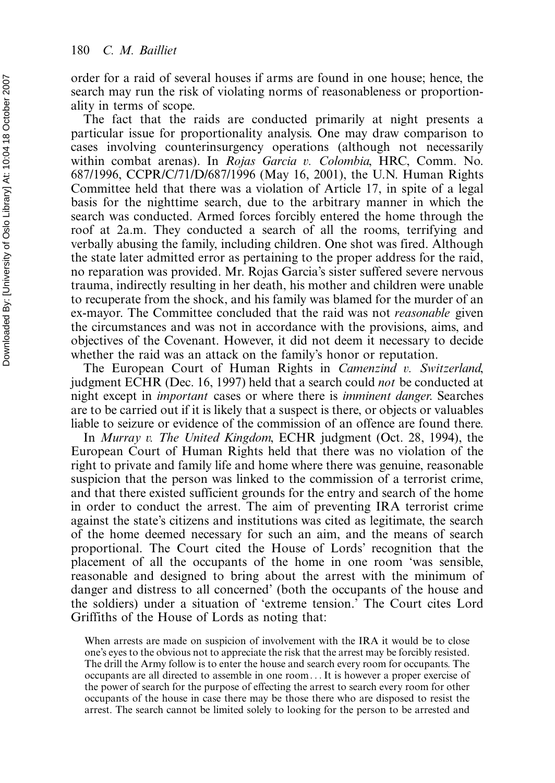order for a raid of several houses if arms are found in one house; hence, the search may run the risk of violating norms of reasonableness or proportionality in terms of scope.

The fact that the raids are conducted primarily at night presents a particular issue for proportionality analysis. One may draw comparison to cases involving counterinsurgency operations (although not necessarily within combat arenas). In Rojas Garcia v. Colombia, HRC, Comm. No. 687/1996, CCPR/C/71/D/687/1996 (May 16, 2001), the U.N. Human Rights Committee held that there was a violation of Article 17, in spite of a legal basis for the nighttime search, due to the arbitrary manner in which the search was conducted. Armed forces forcibly entered the home through the roof at 2a.m. They conducted a search of all the rooms, terrifying and verbally abusing the family, including children. One shot was fired. Although the state later admitted error as pertaining to the proper address for the raid, no reparation was provided. Mr. Rojas Garcia's sister suffered severe nervous trauma, indirectly resulting in her death, his mother and children were unable to recuperate from the shock, and his family was blamed for the murder of an ex-mayor. The Committee concluded that the raid was not *reasonable* given the circumstances and was not in accordance with the provisions, aims, and objectives of the Covenant. However, it did not deem it necessary to decide whether the raid was an attack on the family's honor or reputation.

The European Court of Human Rights in *Camenzind v. Switzerland*, judgment ECHR (Dec. 16, 1997) held that a search could *not* be conducted at night except in important cases or where there is imminent danger. Searches are to be carried out if it is likely that a suspect is there, or objects or valuables liable to seizure or evidence of the commission of an offence are found there.

In Murray v. The United Kingdom, ECHR judgment (Oct. 28, 1994), the European Court of Human Rights held that there was no violation of the right to private and family life and home where there was genuine, reasonable suspicion that the person was linked to the commission of a terrorist crime, and that there existed sufficient grounds for the entry and search of the home in order to conduct the arrest. The aim of preventing IRA terrorist crime against the state's citizens and institutions was cited as legitimate, the search of the home deemed necessary for such an aim, and the means of search proportional. The Court cited the House of Lords' recognition that the placement of all the occupants of the home in one room 'was sensible, reasonable and designed to bring about the arrest with the minimum of danger and distress to all concerned' (both the occupants of the house and the soldiers) under a situation of 'extreme tension.' The Court cites Lord Griffiths of the House of Lords as noting that:

When arrests are made on suspicion of involvement with the IRA it would be to close one's eyes to the obvious not to appreciate the risk that the arrest may be forcibly resisted. The drill the Army follow is to enter the house and search every room for occupants. The occupants are all directed to assemble in one room... It is however a proper exercise of the power of search for the purpose of effecting the arrest to search every room for other occupants of the house in case there may be those there who are disposed to resist the arrest. The search cannot be limited solely to looking for the person to be arrested and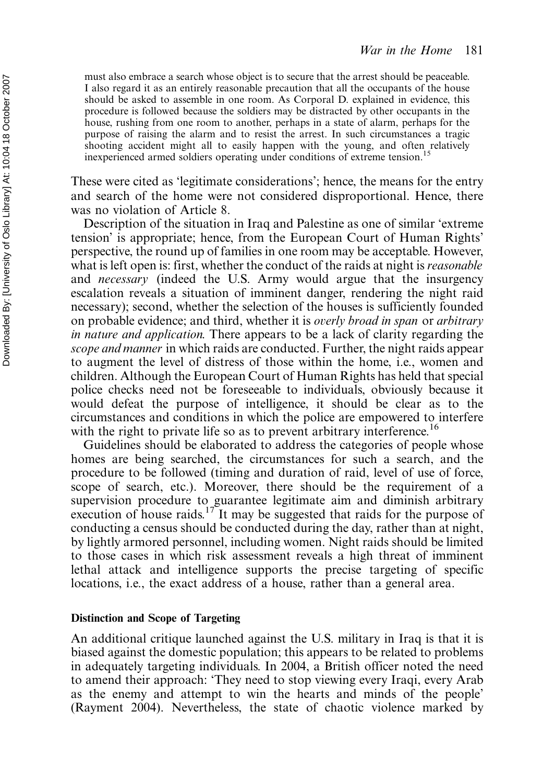must also embrace a search whose object is to secure that the arrest should be peaceable. I also regard it as an entirely reasonable precaution that all the occupants of the house should be asked to assemble in one room. As Corporal D. explained in evidence, this procedure is followed because the soldiers may be distracted by other occupants in the house, rushing from one room to another, perhaps in a state of alarm, perhaps for the purpose of raising the alarm and to resist the arrest. In such circumstances a tragic shooting accident might all to easily happen with the young, and often relatively inexperienced armed soldiers operating under conditions of extreme tension.<sup>1</sup>

These were cited as 'legitimate considerations'; hence, the means for the entry and search of the home were not considered disproportional. Hence, there was no violation of Article 8.

Description of the situation in Iraq and Palestine as one of similar 'extreme tension' is appropriate; hence, from the European Court of Human Rights' perspective, the round up of families in one room may be acceptable. However, what is left open is: first, whether the conduct of the raids at night is *reasonable* and necessary (indeed the U.S. Army would argue that the insurgency escalation reveals a situation of imminent danger, rendering the night raid necessary); second, whether the selection of the houses is sufficiently founded on probable evidence; and third, whether it is overly broad in span or arbitrary in nature and application. There appears to be a lack of clarity regarding the scope and manner in which raids are conducted. Further, the night raids appear to augment the level of distress of those within the home, i.e., women and children. Although the European Court of Human Rights has held that special police checks need not be foreseeable to individuals, obviously because it would defeat the purpose of intelligence, it should be clear as to the circumstances and conditions in which the police are empowered to interfere with the right to private life so as to prevent arbitrary interference.<sup>16</sup>

Guidelines should be elaborated to address the categories of people whose homes are being searched, the circumstances for such a search, and the procedure to be followed (timing and duration of raid, level of use of force, scope of search, etc.). Moreover, there should be the requirement of a supervision procedure to guarantee legitimate aim and diminish arbitrary execution of house raids.<sup>17</sup> It may be suggested that raids for the purpose of conducting a census should be conducted during the day, rather than at night, by lightly armored personnel, including women. Night raids should be limited to those cases in which risk assessment reveals a high threat of imminent lethal attack and intelligence supports the precise targeting of specific locations, i.e., the exact address of a house, rather than a general area.

# Distinction and Scope of Targeting

An additional critique launched against the U.S. military in Iraq is that it is biased against the domestic population; this appears to be related to problems in adequately targeting individuals. In 2004, a British officer noted the need to amend their approach: 'They need to stop viewing every Iraqi, every Arab as the enemy and attempt to win the hearts and minds of the people' (Rayment 2004). Nevertheless, the state of chaotic violence marked by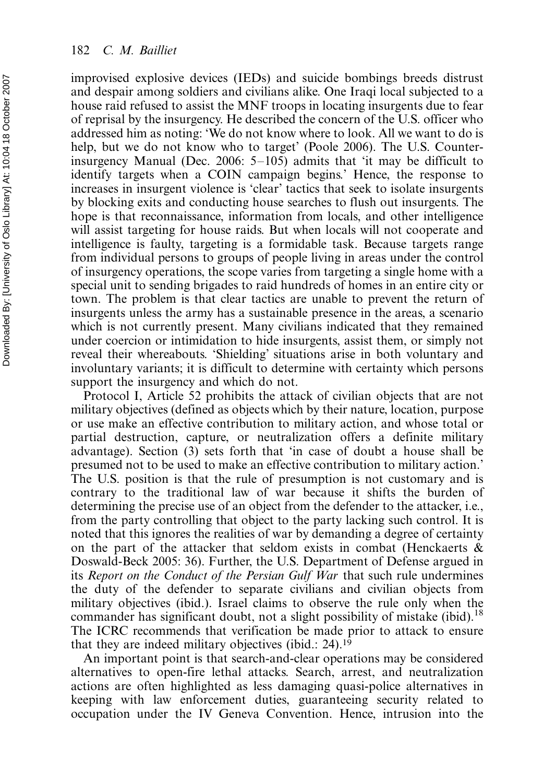improvised explosive devices (IEDs) and suicide bombings breeds distrust and despair among soldiers and civilians alike. One Iraqi local subjected to a house raid refused to assist the MNF troops in locating insurgents due to fear of reprisal by the insurgency. He described the concern of the U.S. officer who addressed him as noting: 'We do not know where to look. All we want to do is help, but we do not know who to target' (Poole 2006). The U.S. Counterinsurgency Manual (Dec. 2006:  $5-105$ ) admits that 'it may be difficult to identify targets when a COIN campaign begins.' Hence, the response to increases in insurgent violence is 'clear' tactics that seek to isolate insurgents by blocking exits and conducting house searches to flush out insurgents. The hope is that reconnaissance, information from locals, and other intelligence will assist targeting for house raids. But when locals will not cooperate and intelligence is faulty, targeting is a formidable task. Because targets range from individual persons to groups of people living in areas under the control of insurgency operations, the scope varies from targeting a single home with a special unit to sending brigades to raid hundreds of homes in an entire city or town. The problem is that clear tactics are unable to prevent the return of insurgents unless the army has a sustainable presence in the areas, a scenario which is not currently present. Many civilians indicated that they remained under coercion or intimidation to hide insurgents, assist them, or simply not reveal their whereabouts. 'Shielding' situations arise in both voluntary and involuntary variants; it is difficult to determine with certainty which persons support the insurgency and which do not.

Protocol I, Article 52 prohibits the attack of civilian objects that are not military objectives (defined as objects which by their nature, location, purpose or use make an effective contribution to military action, and whose total or partial destruction, capture, or neutralization offers a definite military advantage). Section (3) sets forth that 'in case of doubt a house shall be presumed not to be used to make an effective contribution to military action.' The U.S. position is that the rule of presumption is not customary and is contrary to the traditional law of war because it shifts the burden of determining the precise use of an object from the defender to the attacker, i.e., from the party controlling that object to the party lacking such control. It is noted that this ignores the realities of war by demanding a degree of certainty on the part of the attacker that seldom exists in combat (Henckaerts  $\&$ Doswald-Beck 2005: 36). Further, the U.S. Department of Defense argued in its Report on the Conduct of the Persian Gulf War that such rule undermines the duty of the defender to separate civilians and civilian objects from military objectives (ibid.). Israel claims to observe the rule only when the commander has significant doubt, not a slight possibility of mistake (ibid).<sup>18</sup> The ICRC recommends that verification be made prior to attack to ensure that they are indeed military objectives (ibid.: 24).19

An important point is that search-and-clear operations may be considered alternatives to open-fire lethal attacks. Search, arrest, and neutralization actions are often highlighted as less damaging quasi-police alternatives in keeping with law enforcement duties, guaranteeing security related to occupation under the IV Geneva Convention. Hence, intrusion into the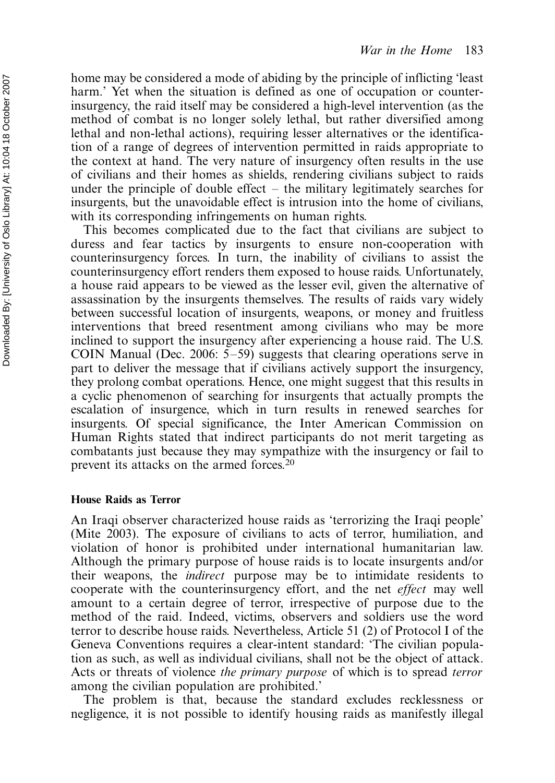home may be considered a mode of abiding by the principle of inflicting 'least harm.' Yet when the situation is defined as one of occupation or counterinsurgency, the raid itself may be considered a high-level intervention (as the method of combat is no longer solely lethal, but rather diversified among lethal and non-lethal actions), requiring lesser alternatives or the identification of a range of degrees of intervention permitted in raids appropriate to the context at hand. The very nature of insurgency often results in the use of civilians and their homes as shields, rendering civilians subject to raids under the principle of double effect  $-$  the military legitimately searches for insurgents, but the unavoidable effect is intrusion into the home of civilians, with its corresponding infringements on human rights.

This becomes complicated due to the fact that civilians are subject to duress and fear tactics by insurgents to ensure non-cooperation with counterinsurgency forces. In turn, the inability of civilians to assist the counterinsurgency effort renders them exposed to house raids. Unfortunately, a house raid appears to be viewed as the lesser evil, given the alternative of assassination by the insurgents themselves. The results of raids vary widely between successful location of insurgents, weapons, or money and fruitless interventions that breed resentment among civilians who may be more inclined to support the insurgency after experiencing a house raid. The U.S. COIN Manual (Dec. 2006:  $5-59$ ) suggests that clearing operations serve in part to deliver the message that if civilians actively support the insurgency, they prolong combat operations. Hence, one might suggest that this results in a cyclic phenomenon of searching for insurgents that actually prompts the escalation of insurgence, which in turn results in renewed searches for insurgents. Of special significance, the Inter American Commission on Human Rights stated that indirect participants do not merit targeting as combatants just because they may sympathize with the insurgency or fail to prevent its attacks on the armed forces.<sup>20</sup>

#### House Raids as Terror

An Iraqi observer characterized house raids as 'terrorizing the Iraqi people' (Mite 2003). The exposure of civilians to acts of terror, humiliation, and violation of honor is prohibited under international humanitarian law. Although the primary purpose of house raids is to locate insurgents and/or their weapons, the indirect purpose may be to intimidate residents to cooperate with the counterinsurgency effort, and the net effect may well amount to a certain degree of terror, irrespective of purpose due to the method of the raid. Indeed, victims, observers and soldiers use the word terror to describe house raids. Nevertheless, Article 51 (2) of Protocol I of the Geneva Conventions requires a clear-intent standard: 'The civilian population as such, as well as individual civilians, shall not be the object of attack. Acts or threats of violence the primary purpose of which is to spread terror among the civilian population are prohibited.'

The problem is that, because the standard excludes recklessness or negligence, it is not possible to identify housing raids as manifestly illegal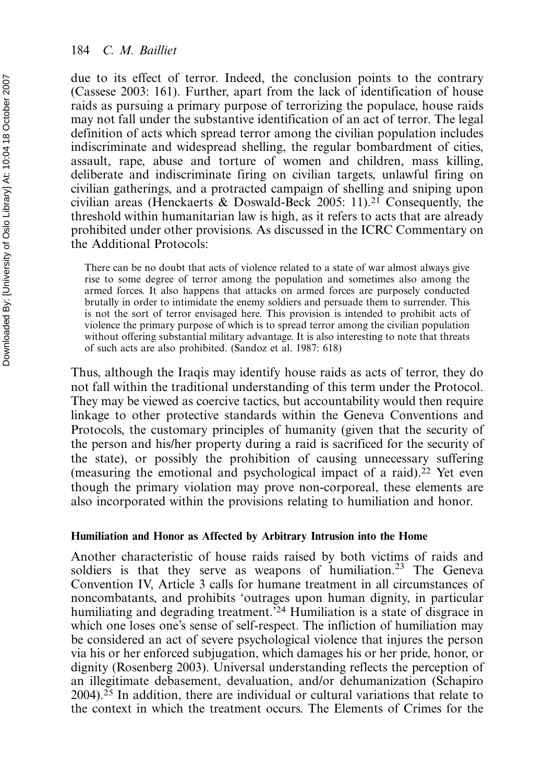due to its effect of terror. Indeed, the conclusion points to the contrary (Cassese 2003: 161). Further, apart from the lack of identification of house raids as pursuing a primary purpose of terrorizing the populace, house raids may not fall under the substantive identification of an act of terror. The legal definition of acts which spread terror among the civilian population includes indiscriminate and widespread shelling, the regular bombardment of cities, assault, rape, abuse and torture of women and children, mass killing, deliberate and indiscriminate firing on civilian targets, unlawful firing on civilian gatherings, and a protracted campaign of shelling and sniping upon civilian areas (Henckaerts & Doswald-Beck 2005: 11).<sup>21</sup> Consequently, the threshold within humanitarian law is high, as it refers to acts that are already prohibited under other provisions. As discussed in the ICRC Commentary on the Additional Protocols:

There can be no doubt that acts of violence related to a state of war almost always give rise to some degree of terror among the population and sometimes also among the armed forces. It also happens that attacks on armed forces are purposely conducted brutally in order to intimidate the enemy soldiers and persuade them to surrender. This is not the sort of terror envisaged here. This provision is intended to prohibit acts of violence the primary purpose of which is to spread terror among the civilian population without offering substantial military advantage. It is also interesting to note that threats of such acts are also prohibited. (Sandoz et al. 1987: 618)

Thus, although the Iraqis may identify house raids as acts of terror, they do not fall within the traditional understanding of this term under the Protocol. They may be viewed as coercive tactics, but accountability would then require linkage to other protective standards within the Geneva Conventions and Protocols, the customary principles of humanity (given that the security of the person and his/her property during a raid is sacrificed for the security of the state), or possibly the prohibition of causing unnecessary suffering (measuring the emotional and psychological impact of a raid).22 Yet even though the primary violation may prove non-corporeal, these elements are also incorporated within the provisions relating to humiliation and honor.

# Humiliation and Honor as Affected by Arbitrary Intrusion into the Home

Another characteristic of house raids raised by both victims of raids and soldiers is that they serve as weapons of humiliation.<sup>23</sup> The Geneva Convention IV, Article 3 calls for humane treatment in all circumstances of noncombatants, and prohibits 'outrages upon human dignity, in particular humiliating and degrading treatment.<sup>24</sup> Humiliation is a state of disgrace in which one loses one's sense of self-respect. The infliction of humiliation may be considered an act of severe psychological violence that injures the person via his or her enforced subjugation, which damages his or her pride, honor, or dignity (Rosenberg 2003). Universal understanding reflects the perception of an illegitimate debasement, devaluation, and/or dehumanization (Schapiro 2004).25 In addition, there are individual or cultural variations that relate to the context in which the treatment occurs. The Elements of Crimes for the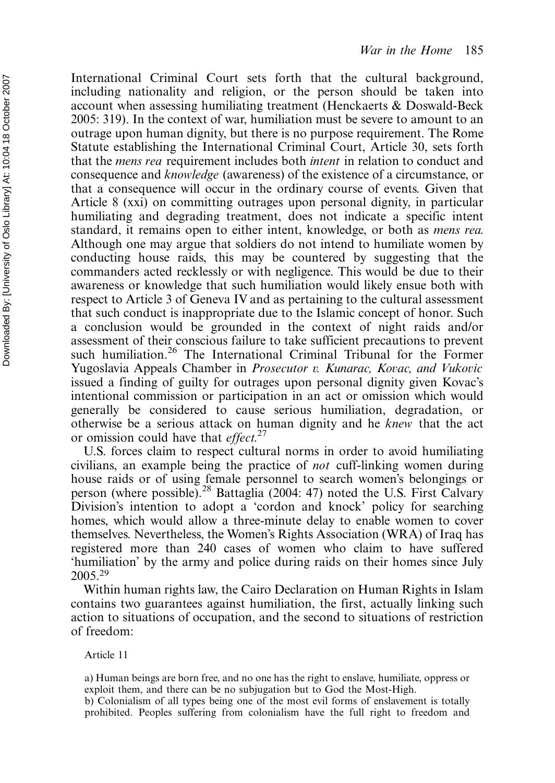International Criminal Court sets forth that the cultural background, including nationality and religion, or the person should be taken into account when assessing humiliating treatment (Henckaerts & Doswald-Beck 2005: 319). In the context of war, humiliation must be severe to amount to an outrage upon human dignity, but there is no purpose requirement. The Rome Statute establishing the International Criminal Court, Article 30, sets forth that the mens rea requirement includes both intent in relation to conduct and consequence and knowledge (awareness) of the existence of a circumstance, or that a consequence will occur in the ordinary course of events. Given that Article 8 (xxi) on committing outrages upon personal dignity, in particular humiliating and degrading treatment, does not indicate a specific intent standard, it remains open to either intent, knowledge, or both as mens rea. Although one may argue that soldiers do not intend to humiliate women by conducting house raids, this may be countered by suggesting that the commanders acted recklessly or with negligence. This would be due to their awareness or knowledge that such humiliation would likely ensue both with respect to Article 3 of Geneva IV and as pertaining to the cultural assessment that such conduct is inappropriate due to the Islamic concept of honor. Such a conclusion would be grounded in the context of night raids and/or assessment of their conscious failure to take sufficient precautions to prevent such humiliation.<sup>26</sup> The International Criminal Tribunal for the Former Yugoslavia Appeals Chamber in Prosecutor v. Kunarac, Kovac, and Vukovic issued a finding of guilty for outrages upon personal dignity given Kovac's intentional commission or participation in an act or omission which would generally be considered to cause serious humiliation, degradation, or otherwise be a serious attack on human dignity and he knew that the act or omission could have that  $effect.^{27}$ 

U.S. forces claim to respect cultural norms in order to avoid humiliating civilians, an example being the practice of not cuff-linking women during house raids or of using female personnel to search women's belongings or person (where possible).<sup>28</sup> Battaglia (2004: 47) noted the U.S. First Calvary Division's intention to adopt a 'cordon and knock' policy for searching homes, which would allow a three-minute delay to enable women to cover themselves. Nevertheless, the Women's Rights Association (WRA) of Iraq has registered more than 240 cases of women who claim to have suffered 'humiliation' by the army and police during raids on their homes since July 2005.<sup>29</sup>

Within human rights law, the Cairo Declaration on Human Rights in Islam contains two guarantees against humiliation, the first, actually linking such action to situations of occupation, and the second to situations of restriction of freedom:

Article 11

a) Human beings are born free, and no one has the right to enslave, humiliate, oppress or exploit them, and there can be no subjugation but to God the Most-High.

b) Colonialism of all types being one of the most evil forms of enslavement is totally prohibited. Peoples suffering from colonialism have the full right to freedom and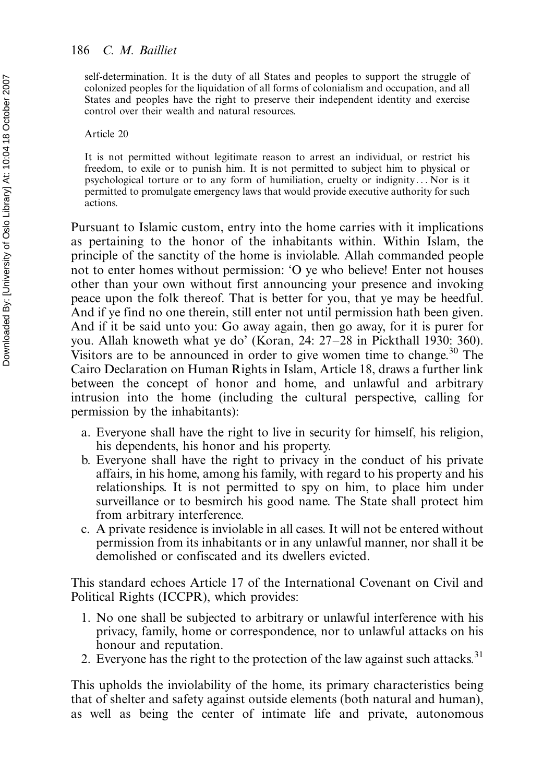self-determination. It is the duty of all States and peoples to support the struggle of colonized peoples for the liquidation of all forms of colonialism and occupation, and all States and peoples have the right to preserve their independent identity and exercise control over their wealth and natural resources.

Article 20

It is not permitted without legitimate reason to arrest an individual, or restrict his freedom, to exile or to punish him. It is not permitted to subject him to physical or psychological torture or to any form of humiliation, cruelty or indignity... Nor is it permitted to promulgate emergency laws that would provide executive authority for such actions.

Pursuant to Islamic custom, entry into the home carries with it implications as pertaining to the honor of the inhabitants within. Within Islam, the principle of the sanctity of the home is inviolable. Allah commanded people not to enter homes without permission: 'O ye who believe! Enter not houses other than your own without first announcing your presence and invoking peace upon the folk thereof. That is better for you, that ye may be heedful. And if ye find no one therein, still enter not until permission hath been given. And if it be said unto you: Go away again, then go away, for it is purer for you. Allah knoweth what ye do' (Koran, 24: 27–28 in Pickthall 1930: 360). Visitors are to be announced in order to give women time to change. $30$  The Cairo Declaration on Human Rights in Islam, Article 18, draws a further link between the concept of honor and home, and unlawful and arbitrary intrusion into the home (including the cultural perspective, calling for permission by the inhabitants):

- a. Everyone shall have the right to live in security for himself, his religion, his dependents, his honor and his property.
- b. Everyone shall have the right to privacy in the conduct of his private affairs, in his home, among his family, with regard to his property and his relationships. It is not permitted to spy on him, to place him under surveillance or to besmirch his good name. The State shall protect him from arbitrary interference.
- c. A private residence is inviolable in all cases. It will not be entered without permission from its inhabitants or in any unlawful manner, nor shall it be demolished or confiscated and its dwellers evicted.

This standard echoes Article 17 of the International Covenant on Civil and Political Rights (ICCPR), which provides:

- 1. No one shall be subjected to arbitrary or unlawful interference with his privacy, family, home or correspondence, nor to unlawful attacks on his honour and reputation.
- 2. Everyone has the right to the protection of the law against such attacks.<sup>31</sup>

This upholds the inviolability of the home, its primary characteristics being that of shelter and safety against outside elements (both natural and human), as well as being the center of intimate life and private, autonomous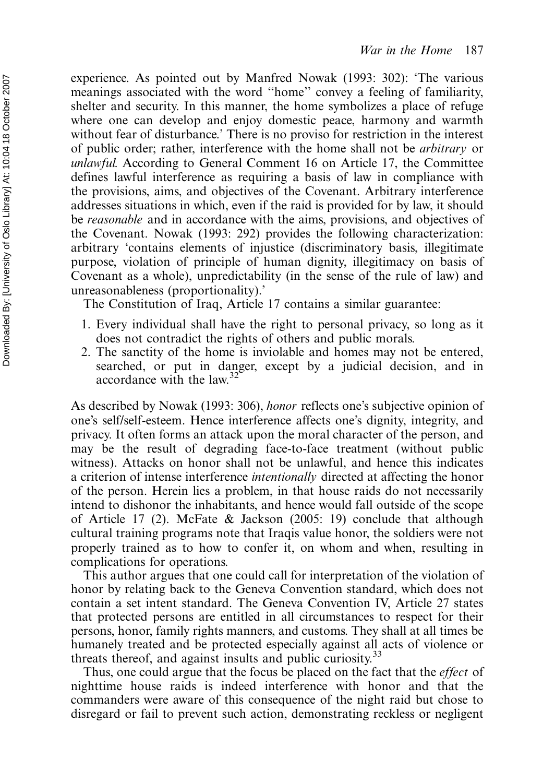experience. As pointed out by Manfred Nowak (1993: 302): 'The various meanings associated with the word ''home'' convey a feeling of familiarity, shelter and security. In this manner, the home symbolizes a place of refuge where one can develop and enjoy domestic peace, harmony and warmth without fear of disturbance.' There is no proviso for restriction in the interest of public order; rather, interference with the home shall not be arbitrary or unlawful. According to General Comment 16 on Article 17, the Committee defines lawful interference as requiring a basis of law in compliance with the provisions, aims, and objectives of the Covenant. Arbitrary interference addresses situations in which, even if the raid is provided for by law, it should be reasonable and in accordance with the aims, provisions, and objectives of the Covenant. Nowak (1993: 292) provides the following characterization: arbitrary 'contains elements of injustice (discriminatory basis, illegitimate purpose, violation of principle of human dignity, illegitimacy on basis of Covenant as a whole), unpredictability (in the sense of the rule of law) and unreasonableness (proportionality).'

The Constitution of Iraq, Article 17 contains a similar guarantee:

- 1. Every individual shall have the right to personal privacy, so long as it does not contradict the rights of others and public morals.
- 2. The sanctity of the home is inviolable and homes may not be entered, searched, or put in danger, except by a judicial decision, and in accordance with the law.<sup>32</sup>

As described by Nowak (1993: 306), honor reflects one's subjective opinion of one's self/self-esteem. Hence interference affects one's dignity, integrity, and privacy. It often forms an attack upon the moral character of the person, and may be the result of degrading face-to-face treatment (without public witness). Attacks on honor shall not be unlawful, and hence this indicates a criterion of intense interference intentionally directed at affecting the honor of the person. Herein lies a problem, in that house raids do not necessarily intend to dishonor the inhabitants, and hence would fall outside of the scope of Article 17 (2). McFate & Jackson (2005: 19) conclude that although cultural training programs note that Iraqis value honor, the soldiers were not properly trained as to how to confer it, on whom and when, resulting in complications for operations.

This author argues that one could call for interpretation of the violation of honor by relating back to the Geneva Convention standard, which does not contain a set intent standard. The Geneva Convention IV, Article 27 states that protected persons are entitled in all circumstances to respect for their persons, honor, family rights manners, and customs. They shall at all times be humanely treated and be protected especially against all acts of violence or threats thereof, and against insults and public curiosity.<sup>33</sup>

Thus, one could argue that the focus be placed on the fact that the *effect* of nighttime house raids is indeed interference with honor and that the commanders were aware of this consequence of the night raid but chose to disregard or fail to prevent such action, demonstrating reckless or negligent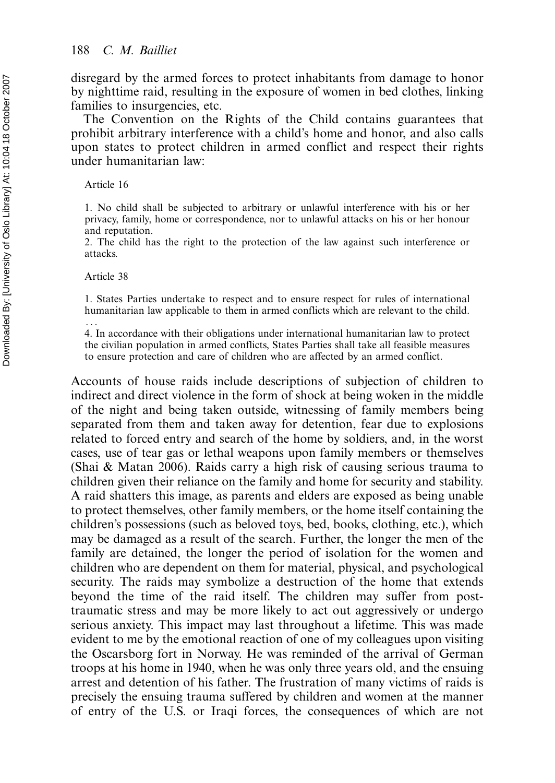disregard by the armed forces to protect inhabitants from damage to honor by nighttime raid, resulting in the exposure of women in bed clothes, linking families to insurgencies, etc.

The Convention on the Rights of the Child contains guarantees that prohibit arbitrary interference with a child's home and honor, and also calls upon states to protect children in armed conflict and respect their rights under humanitarian law:

#### Article 16

1. No child shall be subjected to arbitrary or unlawful interference with his or her privacy, family, home or correspondence, nor to unlawful attacks on his or her honour and reputation.

2. The child has the right to the protection of the law against such interference or attacks.

#### Article 38

1. States Parties undertake to respect and to ensure respect for rules of international humanitarian law applicable to them in armed conflicts which are relevant to the child.

... 4. In accordance with their obligations under international humanitarian law to protect the civilian population in armed conflicts, States Parties shall take all feasible measures to ensure protection and care of children who are affected by an armed conflict.

Accounts of house raids include descriptions of subjection of children to indirect and direct violence in the form of shock at being woken in the middle of the night and being taken outside, witnessing of family members being separated from them and taken away for detention, fear due to explosions related to forced entry and search of the home by soldiers, and, in the worst cases, use of tear gas or lethal weapons upon family members or themselves (Shai & Matan 2006). Raids carry a high risk of causing serious trauma to children given their reliance on the family and home for security and stability. A raid shatters this image, as parents and elders are exposed as being unable to protect themselves, other family members, or the home itself containing the children's possessions (such as beloved toys, bed, books, clothing, etc.), which may be damaged as a result of the search. Further, the longer the men of the family are detained, the longer the period of isolation for the women and children who are dependent on them for material, physical, and psychological security. The raids may symbolize a destruction of the home that extends beyond the time of the raid itself. The children may suffer from posttraumatic stress and may be more likely to act out aggressively or undergo serious anxiety. This impact may last throughout a lifetime. This was made evident to me by the emotional reaction of one of my colleagues upon visiting the Oscarsborg fort in Norway. He was reminded of the arrival of German troops at his home in 1940, when he was only three years old, and the ensuing arrest and detention of his father. The frustration of many victims of raids is precisely the ensuing trauma suffered by children and women at the manner of entry of the U.S. or Iraqi forces, the consequences of which are not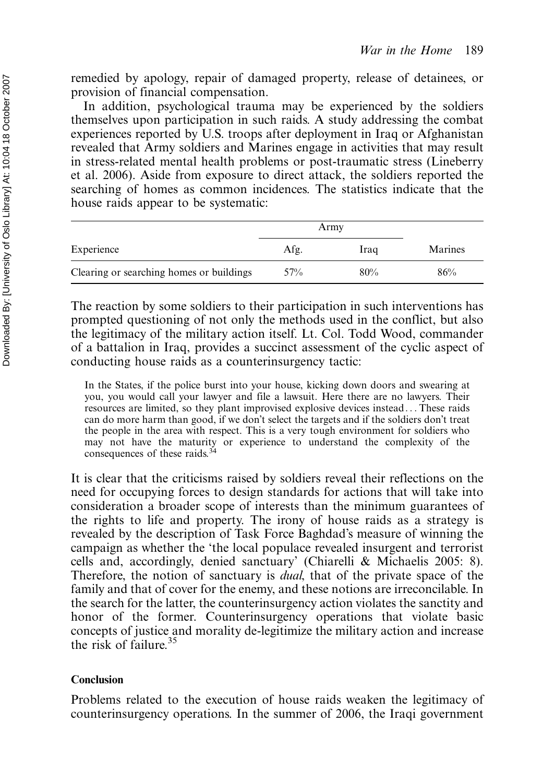remedied by apology, repair of damaged property, release of detainees, or provision of financial compensation.

In addition, psychological trauma may be experienced by the soldiers themselves upon participation in such raids. A study addressing the combat experiences reported by U.S. troops after deployment in Iraq or Afghanistan revealed that Army soldiers and Marines engage in activities that may result in stress-related mental health problems or post-traumatic stress (Lineberry et al. 2006). Aside from exposure to direct attack, the soldiers reported the searching of homes as common incidences. The statistics indicate that the house raids appear to be systematic:

|                                          | Army |      |         |
|------------------------------------------|------|------|---------|
| Experience                               | Afg. | Iraq | Marines |
| Clearing or searching homes or buildings | 57%  | 80%  | 86%     |

The reaction by some soldiers to their participation in such interventions has prompted questioning of not only the methods used in the conflict, but also the legitimacy of the military action itself. Lt. Col. Todd Wood, commander of a battalion in Iraq, provides a succinct assessment of the cyclic aspect of conducting house raids as a counterinsurgency tactic:

In the States, if the police burst into your house, kicking down doors and swearing at you, you would call your lawyer and file a lawsuit. Here there are no lawyers. Their resources are limited, so they plant improvised explosive devices instead... These raids can do more harm than good, if we don't select the targets and if the soldiers don't treat the people in the area with respect. This is a very tough environment for soldiers who may not have the maturity or experience to understand the complexity of the consequences of these raids.<sup>34</sup>

It is clear that the criticisms raised by soldiers reveal their reflections on the need for occupying forces to design standards for actions that will take into consideration a broader scope of interests than the minimum guarantees of the rights to life and property. The irony of house raids as a strategy is revealed by the description of Task Force Baghdad's measure of winning the campaign as whether the 'the local populace revealed insurgent and terrorist cells and, accordingly, denied sanctuary' (Chiarelli & Michaelis 2005: 8). Therefore, the notion of sanctuary is *dual*, that of the private space of the family and that of cover for the enemy, and these notions are irreconcilable. In the search for the latter, the counterinsurgency action violates the sanctity and honor of the former. Counterinsurgency operations that violate basic concepts of justice and morality de-legitimize the military action and increase the risk of failure.35

# Conclusion

Problems related to the execution of house raids weaken the legitimacy of counterinsurgency operations. In the summer of 2006, the Iraqi government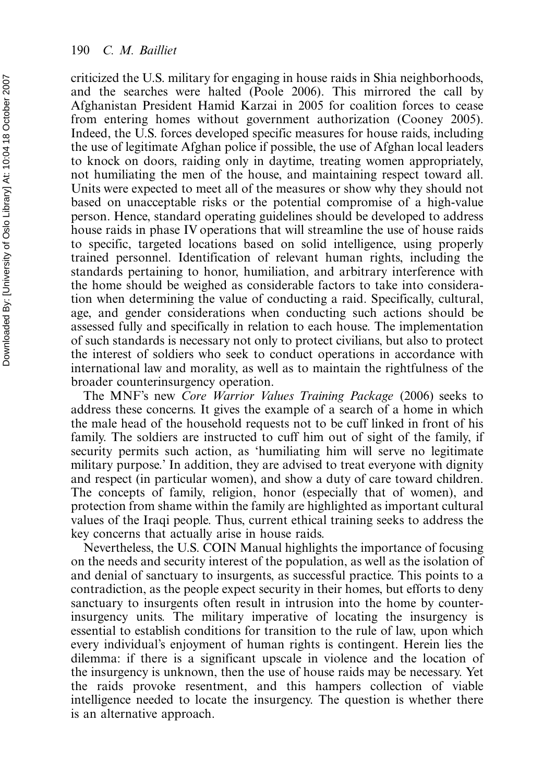criticized the U.S. military for engaging in house raids in Shia neighborhoods, and the searches were halted (Poole 2006). This mirrored the call by Afghanistan President Hamid Karzai in 2005 for coalition forces to cease from entering homes without government authorization (Cooney 2005). Indeed, the U.S. forces developed specific measures for house raids, including the use of legitimate Afghan police if possible, the use of Afghan local leaders to knock on doors, raiding only in daytime, treating women appropriately, not humiliating the men of the house, and maintaining respect toward all. Units were expected to meet all of the measures or show why they should not based on unacceptable risks or the potential compromise of a high-value person. Hence, standard operating guidelines should be developed to address house raids in phase IV operations that will streamline the use of house raids to specific, targeted locations based on solid intelligence, using properly trained personnel. Identification of relevant human rights, including the standards pertaining to honor, humiliation, and arbitrary interference with the home should be weighed as considerable factors to take into consideration when determining the value of conducting a raid. Specifically, cultural, age, and gender considerations when conducting such actions should be assessed fully and specifically in relation to each house. The implementation of such standards is necessary not only to protect civilians, but also to protect the interest of soldiers who seek to conduct operations in accordance with international law and morality, as well as to maintain the rightfulness of the broader counterinsurgency operation.

The MNF's new Core Warrior Values Training Package (2006) seeks to address these concerns. It gives the example of a search of a home in which the male head of the household requests not to be cuff linked in front of his family. The soldiers are instructed to cuff him out of sight of the family, if security permits such action, as 'humiliating him will serve no legitimate military purpose.' In addition, they are advised to treat everyone with dignity and respect (in particular women), and show a duty of care toward children. The concepts of family, religion, honor (especially that of women), and protection from shame within the family are highlighted as important cultural values of the Iraqi people. Thus, current ethical training seeks to address the key concerns that actually arise in house raids.

Nevertheless, the U.S. COIN Manual highlights the importance of focusing on the needs and security interest of the population, as well as the isolation of and denial of sanctuary to insurgents, as successful practice. This points to a contradiction, as the people expect security in their homes, but efforts to deny sanctuary to insurgents often result in intrusion into the home by counterinsurgency units. The military imperative of locating the insurgency is essential to establish conditions for transition to the rule of law, upon which every individual's enjoyment of human rights is contingent. Herein lies the dilemma: if there is a significant upscale in violence and the location of the insurgency is unknown, then the use of house raids may be necessary. Yet the raids provoke resentment, and this hampers collection of viable intelligence needed to locate the insurgency. The question is whether there is an alternative approach.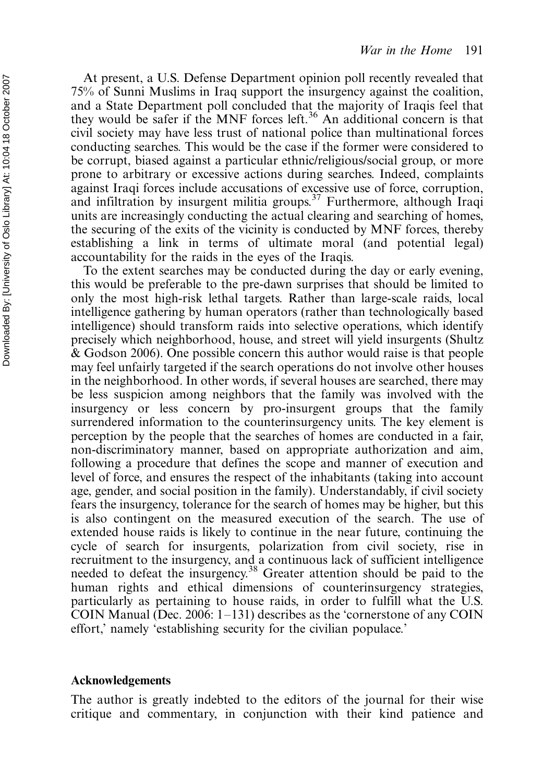At present, a U.S. Defense Department opinion poll recently revealed that 75% of Sunni Muslims in Iraq support the insurgency against the coalition, and a State Department poll concluded that the majority of Iraqis feel that they would be safer if the MNF forces left.<sup>36</sup> An additional concern is that civil society may have less trust of national police than multinational forces conducting searches. This would be the case if the former were considered to be corrupt, biased against a particular ethnic/religious/social group, or more prone to arbitrary or excessive actions during searches. Indeed, complaints against Iraqi forces include accusations of excessive use of force, corruption, and infiltration by insurgent militia groups.<sup>37</sup> Furthermore, although Iraqi units are increasingly conducting the actual clearing and searching of homes, the securing of the exits of the vicinity is conducted by MNF forces, thereby establishing a link in terms of ultimate moral (and potential legal) accountability for the raids in the eyes of the Iraqis.

To the extent searches may be conducted during the day or early evening, this would be preferable to the pre-dawn surprises that should be limited to only the most high-risk lethal targets. Rather than large-scale raids, local intelligence gathering by human operators (rather than technologically based intelligence) should transform raids into selective operations, which identify precisely which neighborhood, house, and street will yield insurgents (Shultz & Godson 2006). One possible concern this author would raise is that people may feel unfairly targeted if the search operations do not involve other houses in the neighborhood. In other words, if several houses are searched, there may be less suspicion among neighbors that the family was involved with the insurgency or less concern by pro-insurgent groups that the family surrendered information to the counterinsurgency units. The key element is perception by the people that the searches of homes are conducted in a fair, non-discriminatory manner, based on appropriate authorization and aim, following a procedure that defines the scope and manner of execution and level of force, and ensures the respect of the inhabitants (taking into account age, gender, and social position in the family). Understandably, if civil society fears the insurgency, tolerance for the search of homes may be higher, but this is also contingent on the measured execution of the search. The use of extended house raids is likely to continue in the near future, continuing the cycle of search for insurgents, polarization from civil society, rise in recruitment to the insurgency, and a continuous lack of sufficient intelligence needed to defeat the insurgency.<sup>38</sup> Greater attention should be paid to the human rights and ethical dimensions of counterinsurgency strategies, particularly as pertaining to house raids, in order to fulfill what the U.S. COIN Manual (Dec. 2006:  $1-131$ ) describes as the 'cornerstone of any COIN effort,' namely 'establishing security for the civilian populace.'

# Acknowledgements

The author is greatly indebted to the editors of the journal for their wise critique and commentary, in conjunction with their kind patience and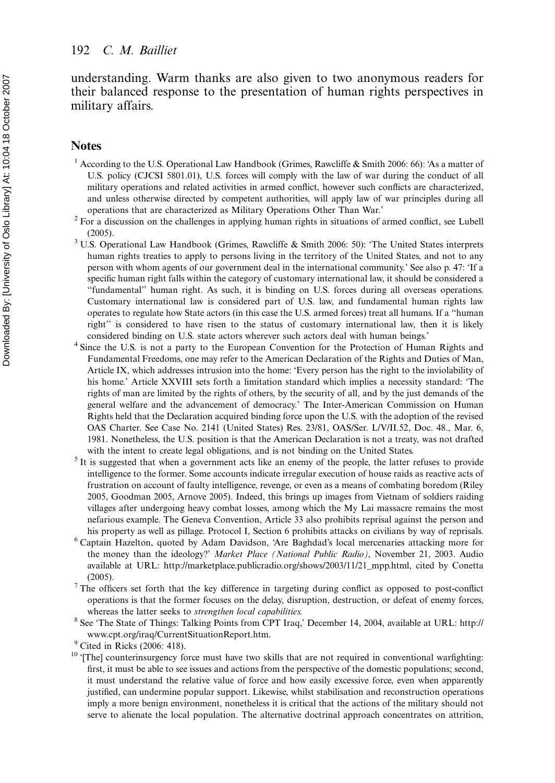understanding. Warm thanks are also given to two anonymous readers for their balanced response to the presentation of human rights perspectives in military affairs.

## Notes

- <sup>1</sup> According to the U.S. Operational Law Handbook (Grimes, Rawcliffe & Smith 2006: 66): 'As a matter of U.S. policy (CJCSI 5801.01), U.S. forces will comply with the law of war during the conduct of all military operations and related activities in armed conflict, however such conflicts are characterized, and unless otherwise directed by competent authorities, will apply law of war principles during all
- operations that are characterized as Military Operations Other Than War.' <sup>2</sup> For a discussion on the challenges in applying human rights in situations of armed conflict, see Lubell (2005).
- <sup>3</sup> U.S. Operational Law Handbook (Grimes, Rawcliffe & Smith 2006: 50): 'The United States interprets human rights treaties to apply to persons living in the territory of the United States, and not to any person with whom agents of our government deal in the international community.' See also p. 47: 'If a specific human right falls within the category of customary international law, it should be considered a ''fundamental'' human right. As such, it is binding on U.S. forces during all overseas operations. Customary international law is considered part of U.S. law, and fundamental human rights law operates to regulate how State actors (in this case the U.S. armed forces) treat all humans. If a ''human right'' is considered to have risen to the status of customary international law, then it is likely
- considered binding on U.S. state actors wherever such actors deal with human beings.' <sup>4</sup> Since the U.S. is not a party to the European Convention for the Protection of Human Rights and Fundamental Freedoms, one may refer to the American Declaration of the Rights and Duties of Man, Article IX, which addresses intrusion into the home: 'Every person has the right to the inviolability of his home.' Article XXVIII sets forth a limitation standard which implies a necessity standard: 'The rights of man are limited by the rights of others, by the security of all, and by the just demands of the general welfare and the advancement of democracy.' The Inter-American Commission on Human Rights held that the Declaration acquired binding force upon the U.S. with the adoption of the revised OAS Charter. See Case No. 2141 (United States) Res. 23/81, OAS/Ser. L/V/II.52, Doc. 48., Mar. 6, 1981. Nonetheless, the U.S. position is that the American Declaration is not a treaty, was not drafted with the intent to create legal obligations, and is not binding on the United States.
- <sup>5</sup> It is suggested that when a government acts like an enemy of the people, the latter refuses to provide intelligence to the former. Some accounts indicate irregular execution of house raids as reactive acts of frustration on account of faulty intelligence, revenge, or even as a means of combating boredom (Riley 2005, Goodman 2005, Arnove 2005). Indeed, this brings up images from Vietnam of soldiers raiding villages after undergoing heavy combat losses, among which the My Lai massacre remains the most nefarious example. The Geneva Convention, Article 33 also prohibits reprisal against the person and his property as well as pillage. Protocol I, Section 6 prohibits attacks on civilians by way of reprisals.
- <sup>6</sup> Captain Hazelton, quoted by Adam Davidson, 'Are Baghdad's local mercenaries attacking more for the money than the ideology?' Market Place (National Public Radio), November 21, 2003. Audio available at URL: http://marketplace.publicradio.org/shows/2003/11/21\_mpp.html, cited by Conetta (2005).
- $<sup>7</sup>$  The officers set forth that the key difference in targeting during conflict as opposed to post-conflict</sup> operations is that the former focuses on the delay, disruption, destruction, or defeat of enemy forces, whereas the latter seeks to *strengthen local capabilities*.
- <sup>8</sup> See 'The State of Things: Talking Points from CPT Iraq,' December 14, 2004, available at URL: http://
- 
- www.cpt.org/iraq/CurrentSituationReport.htm.<br><sup>9</sup> Cited in Ricks (2006: 418).<br><sup>10</sup> '[The] counterinsurgency force must have two skills that are not required in conventional warfighting: first, it must be able to see issues and actions from the perspective of the domestic populations; second, it must understand the relative value of force and how easily excessive force, even when apparently justified, can undermine popular support. Likewise, whilst stabilisation and reconstruction operations imply a more benign environment, nonetheless it is critical that the actions of the military should not serve to alienate the local population. The alternative doctrinal approach concentrates on attrition,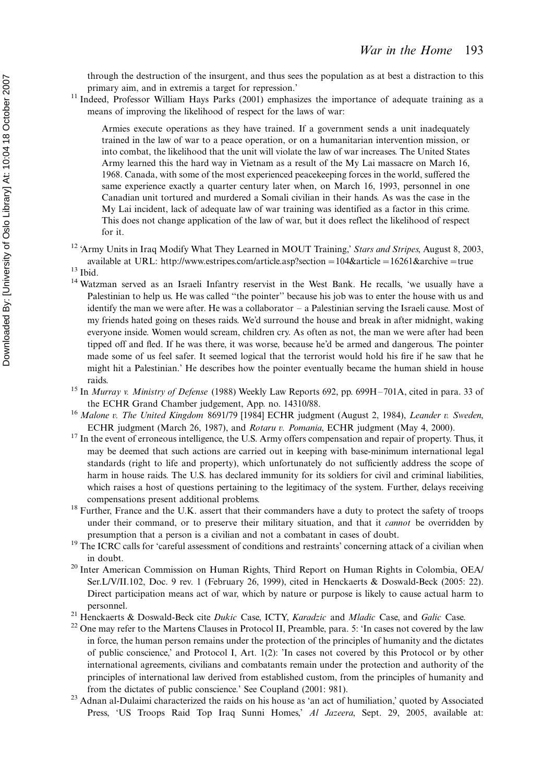through the destruction of the insurgent, and thus sees the population as at best a distraction to this

primary aim, and in extremis a target for repression.'<br><sup>11</sup> Indeed, Professor William Hays Parks (2001) emphasizes the importance of adequate training as a means of improving the likelihood of respect for the laws of war:

Armies execute operations as they have trained. If a government sends a unit inadequately trained in the law of war to a peace operation, or on a humanitarian intervention mission, or into combat, the likelihood that the unit will violate the law of war increases. The United States Army learned this the hard way in Vietnam as a result of the My Lai massacre on March 16, 1968. Canada, with some of the most experienced peacekeeping forces in the world, suffered the same experience exactly a quarter century later when, on March 16, 1993, personnel in one Canadian unit tortured and murdered a Somali civilian in their hands. As was the case in the My Lai incident, lack of adequate law of war training was identified as a factor in this crime. This does not change application of the law of war, but it does reflect the likelihood of respect for it.

- <sup>12</sup> 'Army Units in Iraq Modify What They Learned in MOUT Training,' Stars and Stripes, August 8, 2003, available at URL: http://www.estripes.com/article.asp?section = 104&article = 16261&archive = true
- 
- <sup>13</sup> Ibid.<br><sup>14</sup> Watzman served as an Israeli Infantry reservist in the West Bank. He recalls, 'we usually have a Palestinian to help us. He was called ''the pointer'' because his job was to enter the house with us and identify the man we were after. He was a collaborator  $-$  a Palestinian serving the Israeli cause. Most of my friends hated going on theses raids. We'd surround the house and break in after midnight, waking everyone inside. Women would scream, children cry. As often as not, the man we were after had been tipped off and fled. If he was there, it was worse, because he'd be armed and dangerous. The pointer made some of us feel safer. It seemed logical that the terrorist would hold his fire if he saw that he might hit a Palestinian.' He describes how the pointer eventually became the human shield in house
- raids.<br><sup>15</sup> In *Murray v. Ministry of Defense* (1988) Weekly Law Reports 692, pp. 699H-701A, cited in para. 33 of the ECHR Grand Chamber judgement, App. no. 14310/88.
- <sup>16</sup> Malone v. The United Kingdom 8691/79 [1984] ECHR judgment (August 2, 1984), Leander v. Sweden,
- ECHR judgment (March 26, 1987), and *Rotaru v. Pomania*, ECHR judgment (May 4, 2000). <sup>17</sup> In the event of erroneous intelligence, the U.S. Army offers compensation and repair of property. Thus, it may be deemed that such actions are carried out in keeping with base-minimum international legal standards (right to life and property), which unfortunately do not sufficiently address the scope of harm in house raids. The U.S. has declared immunity for its soldiers for civil and criminal liabilities, which raises a host of questions pertaining to the legitimacy of the system. Further, delays receiving compensations present additional problems.<br><sup>18</sup> Further, France and the U.K. assert that their commanders have a duty to protect the safety of troops
- under their command, or to preserve their military situation, and that it *cannot* be overridden by
- presumption that a person is a civilian and not a combatant in cases of doubt.<br><sup>19</sup> The ICRC calls for 'careful assessment of conditions and restraints' concerning attack of a civilian when
- in doubt. <sup>20</sup> Inter American Commission on Human Rights, Third Report on Human Rights in Colombia, OEA/ Ser.L/V/II.102, Doc. 9 rev. 1 (February 26, 1999), cited in Henckaerts & Doswald-Beck (2005: 22). Direct participation means act of war, which by nature or purpose is likely to cause actual harm to <sup>21</sup> Henckaerts & Doswald-Beck cite *Dukic* Case, ICTY, *Karadzic* and *Mladic* Case, and *Galic* Case. <sup>22</sup> One may refer to the Martens Clauses in Protocol II, Preamble, para. 5: 'In cases not covered by the law
- 
- in force, the human person remains under the protection of the principles of humanity and the dictates of public conscience,' and Protocol I, Art. 1(2): 'In cases not covered by this Protocol or by other international agreements, civilians and combatants remain under the protection and authority of the principles of international law derived from established custom, from the principles of humanity and
- from the dictates of public conscience.' See Coupland (2001: 981). <sup>23</sup> Adnan al-Dulaimi characterized the raids on his house as 'an act of humiliation,' quoted by Associated Press, 'US Troops Raid Top Iraq Sunni Homes,' Al Jazeera, Sept. 29, 2005, available at: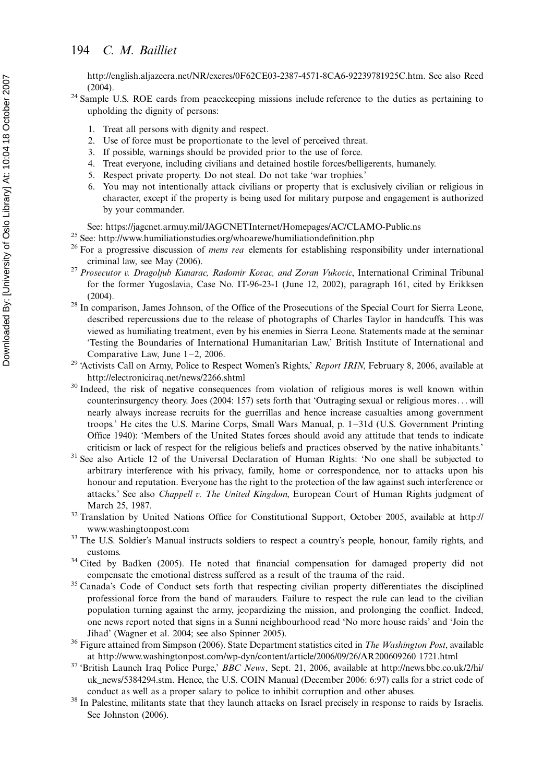http://english.aljazeera.net/NR/exeres/0F62CE03-2387-4571-8CA6-92239781925C.htm. See also Reed

- (2004). <sup>24</sup> Sample U.S. ROE cards from peacekeeping missions include reference to the duties as pertaining to upholding the dignity of persons:
	- 1. Treat all persons with dignity and respect.
	- 2. Use of force must be proportionate to the level of perceived threat.
	- 3. If possible, warnings should be provided prior to the use of force.
	- 4. Treat everyone, including civilians and detained hostile forces/belligerents, humanely.
	- 5. Respect private property. Do not steal. Do not take 'war trophies.'
	- 6. You may not intentionally attack civilians or property that is exclusively civilian or religious in character, except if the property is being used for military purpose and engagement is authorized by your commander.

See: https://jagcnet.armuy.mil/JAGCNETInternet/Homepages/AC/CLAMO-Public.ns<sup>25</sup> See: http://www.humiliationstudies.org/whoarewe/humiliationdefinition.php

- 
- $26$  For a progressive discussion of *mens rea* elements for establishing responsibility under international
- criminal law, see May (2006).<br><sup>27</sup> Prosecutor v. Dragoljub Kunarac, Radomir Kovac, and Zoran Vukovic, International Criminal Tribunal for the former Yugoslavia, Case No. IT-96-23-1 (June 12, 2002), paragraph 161, cited by Erikksen
- (2004). <sup>28</sup> In comparison, James Johnson, of the Office of the Prosecutions of the Special Court for Sierra Leone, described repercussions due to the release of photographs of Charles Taylor in handcuffs. This was viewed as humiliating treatment, even by his enemies in Sierra Leone. Statements made at the seminar 'Testing the Boundaries of International Humanitarian Law,' British Institute of International and
- Comparative Law, June 1–2, 2006.<br><sup>29</sup> 'Activists Call on Army, Police to Respect Women's Rights,' *Report IRIN*, February 8, 2006, available at
- http://electroniciraq.net/news/2266.shtml<br><sup>30</sup> Indeed, the risk of negative consequences from violation of religious mores is well known within counterinsurgency theory. Joes (2004: 157) sets forth that 'Outraging sexual or religious mores... will nearly always increase recruits for the guerrillas and hence increase casualties among government troops.' He cites the U.S. Marine Corps, Small Wars Manual, p. 1-31d (U.S. Government Printing Office 1940): 'Members of the United States forces should avoid any attitude that tends to indicate criticism or lack of respect for the religious beliefs and practices observed by the native inhabitants.'
- <sup>31</sup> See also Article 12 of the Universal Declaration of Human Rights: 'No one shall be subjected to arbitrary interference with his privacy, family, home or correspondence, nor to attacks upon his honour and reputation. Everyone has the right to the protection of the law against such interference or attacks.' See also Chappell v. The United Kingdom, European Court of Human Rights judgment of March 25, 1987.
- <sup>32</sup> Translation by United Nations Office for Constitutional Support, October 2005, available at http:// www.washingtonpost.com
- <sup>33</sup> The U.S. Soldier's Manual instructs soldiers to respect a country's people, honour, family rights, and customs. <sup>34</sup> Cited by Badken (2005). He noted that financial compensation for damaged property did not
- 
- compensate the emotional distress suffered as a result of the trauma of the raid. <sup>35</sup> Canada's Code of Conduct sets forth that respecting civilian property differentiates the disciplined professional force from the band of marauders. Failure to respect the rule can lead to the civilian population turning against the army, jeopardizing the mission, and prolonging the conflict. Indeed, one news report noted that signs in a Sunni neighbourhood read 'No more house raids' and 'Join the Jihad' (Wagner et al. 2004; see also Spinner 2005).
- <sup>36</sup> Figure attained from Simpson (2006). State Department statistics cited in *The Washington Post*, available
- at http://www.washingtonpost.com/wp-dyn/content/article/2006/09/26/AR200609260 1721.html <sup>37</sup> 'British Launch Iraq Police Purge,' BBC News, Sept. 21, 2006, available at http://news.bbc.co.uk/2/hi/ uk\_news/5384294.stm. Hence, the U.S. COIN Manual (December 2006: 6:97) calls for a strict code of
- conduct as well as a proper salary to police to inhibit corruption and other abuses. <sup>38</sup> In Palestine, militants state that they launch attacks on Israel precisely in response to raids by Israelis. See Johnston (2006).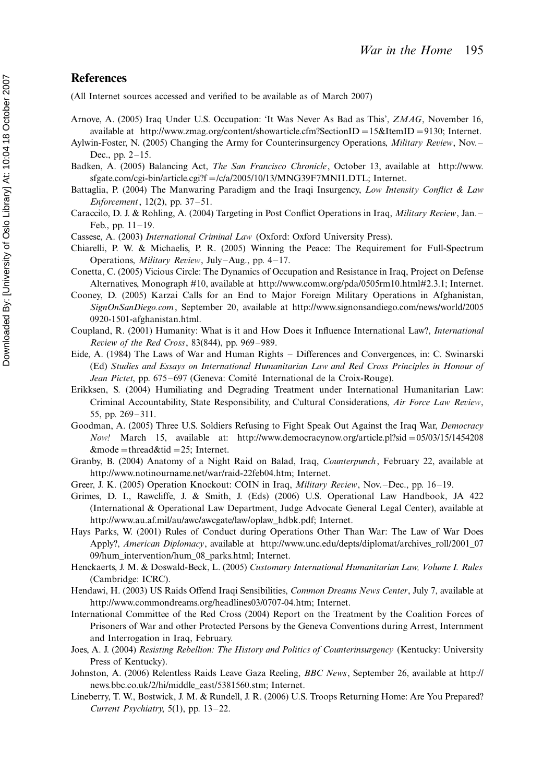# **References**

(All Internet sources accessed and verified to be available as of March 2007)

- Arnove, A. (2005) Iraq Under U.S. Occupation: 'It Was Never As Bad as This', ZMAG, November 16, available at http://www.zmag.org/content/showarticle.cfm?SectionID-15&ItemID-9130; Internet.
- Aylwin-Foster, N. (2005) Changing the Army for Counterinsurgency Operations, Military Review, Nov. Dec., pp.  $2 - 15$ .
- Badken, A. (2005) Balancing Act, The San Francisco Chronicle, October 13, available at http://www. sfgate.com/cgi-bin/article.cgi?f-/c/a/2005/10/13/MNG39F7MNI1.DTL; Internet.
- Battaglia, P. (2004) The Manwaring Paradigm and the Iraqi Insurgency, Low Intensity Conflict & Law Enforcement,  $12(2)$ , pp.  $37-51$ .
- Caraccilo, D. J. & Rohling, A. (2004) Targeting in Post Conflict Operations in Iraq, Military Review, Jan. Feb., pp.  $11-19$ .
- Cassese, A. (2003) International Criminal Law (Oxford: Oxford University Press).
- Chiarelli, P. W. & Michaelis, P. R. (2005) Winning the Peace: The Requirement for Full-Spectrum Operations, *Military Review*, July-Aug., pp.  $4-17$ .
- Conetta, C. (2005) Vicious Circle: The Dynamics of Occupation and Resistance in Iraq, Project on Defense Alternatives, Monograph #10, available at http://www.comw.org/pda/0505rm10.html#2.3.1; Internet.
- Cooney, D. (2005) Karzai Calls for an End to Major Foreign Military Operations in Afghanistan, SignOnSanDiego.com, September 20, available at http://www.signonsandiego.com/news/world/2005 0920-1501-afghanistan.html.
- Coupland, R. (2001) Humanity: What is it and How Does it Influence International Law?, International Review of the Red Cross,  $83(844)$ , pp.  $969-989$ .
- Eide, A. (1984) The Laws of War and Human Rights Differences and Convergences, in: C. Swinarski (Ed) Studies and Essays on International Humanitarian Law and Red Cross Principles in Honour of Jean Pictet, pp. 675–697 (Geneva: Comité International de la Croix-Rouge).
- Erikksen, S. (2004) Humiliating and Degrading Treatment under International Humanitarian Law: Criminal Accountability, State Responsibility, and Cultural Considerations, Air Force Law Review, 55, pp.  $269 - 311$ .
- Goodman, A. (2005) Three U.S. Soldiers Refusing to Fight Speak Out Against the Iraq War, Democracy Now! March 15, available at: http://www.democracynow.org/article.pl?sid-05/03/15/1454208 &mode-thread&tid-25; Internet.
- Granby, B. (2004) Anatomy of a Night Raid on Balad, Iraq, Counterpunch, February 22, available at http://www.notinourname.net/war/raid-22feb04.htm; Internet.
- Greer, J. K. (2005) Operation Knockout: COIN in Iraq, Military Review, Nov.-Dec., pp. 16–19.
- Grimes, D. I., Rawcliffe, J. & Smith, J. (Eds) (2006) U.S. Operational Law Handbook, JA 422 (International & Operational Law Department, Judge Advocate General Legal Center), available at http://www.au.af.mil/au/awc/awcgate/law/oplaw\_hdbk.pdf; Internet.
- Hays Parks, W. (2001) Rules of Conduct during Operations Other Than War: The Law of War Does Apply?, American Diplomacy, available at http://www.unc.edu/depts/diplomat/archives\_roll/2001\_07 09/hum\_intervention/hum\_08\_parks.html; Internet.
- Henckaerts, J. M. & Doswald-Beck, L. (2005) Customary International Humanitarian Law, Volume I. Rules (Cambridge: ICRC).
- Hendawi, H. (2003) US Raids Offend Iraqi Sensibilities, Common Dreams News Center, July 7, available at http://www.commondreams.org/headlines03/0707-04.htm; Internet.
- International Committee of the Red Cross (2004) Report on the Treatment by the Coalition Forces of Prisoners of War and other Protected Persons by the Geneva Conventions during Arrest, Internment and Interrogation in Iraq, February.
- Joes, A. J. (2004) Resisting Rebellion: The History and Politics of Counterinsurgency (Kentucky: University Press of Kentucky).
- Johnston, A. (2006) Relentless Raids Leave Gaza Reeling, BBC News, September 26, available at http:// news.bbc.co.uk/2/hi/middle\_east/5381560.stm; Internet.
- Lineberry, T. W., Bostwick, J. M. & Rundell, J. R. (2006) U.S. Troops Returning Home: Are You Prepared? Current Psychiatry,  $5(1)$ , pp.  $13-22$ .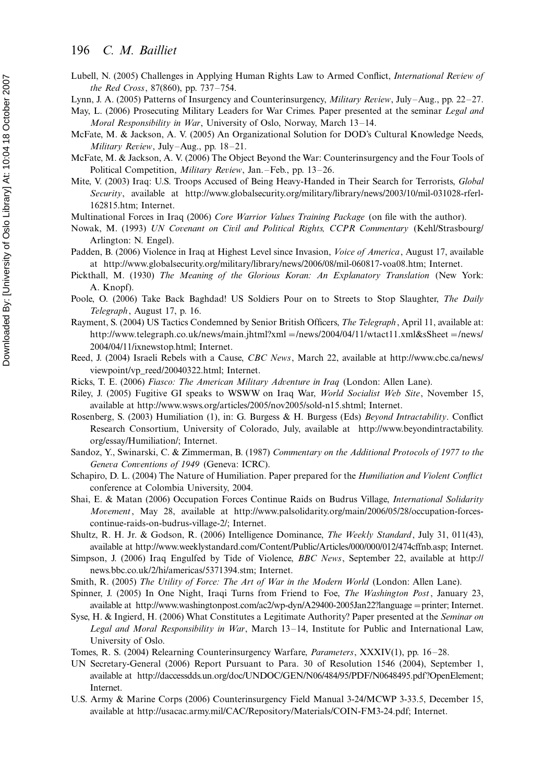- Lubell, N. (2005) Challenges in Applying Human Rights Law to Armed Conflict, International Review of the Red Cross,  $87(860)$ , pp.  $737-754$ .
- Lynn, J. A. (2005) Patterns of Insurgency and Counterinsurgency, *Military Review*, July–Aug., pp. 22–27.
- May, L. (2006) Prosecuting Military Leaders for War Crimes. Paper presented at the seminar Legal and Moral Responsibility in War, University of Oslo, Norway, March 13-14.
- McFate, M. & Jackson, A. V. (2005) An Organizational Solution for DOD's Cultural Knowledge Needs, Military Review, July-Aug., pp. 18-21.
- McFate, M. & Jackson, A. V. (2006) The Object Beyond the War: Counterinsurgency and the Four Tools of Political Competition, Military Review, Jan.-Feb., pp. 13-26.
- Mite, V. (2003) Iraq: U.S. Troops Accused of Being Heavy-Handed in Their Search for Terrorists, Global Security, available at http://www.globalsecurity.org/military/library/news/2003/10/mil-031028-rferl-162815.htm; Internet.

Multinational Forces in Iraq (2006) Core Warrior Values Training Package (on file with the author).

- Nowak, M. (1993) UN Covenant on Civil and Political Rights, CCPR Commentary (Kehl/Strasbourg/ Arlington: N. Engel).
- Padden, B. (2006) Violence in Iraq at Highest Level since Invasion, Voice of America, August 17, available at http://www.globalsecurity.org/military/library/news/2006/08/mil-060817-voa08.htm; Internet.
- Pickthall, M. (1930) The Meaning of the Glorious Koran: An Explanatory Translation (New York: A. Knopf).
- Poole, O. (2006) Take Back Baghdad! US Soldiers Pour on to Streets to Stop Slaughter, The Daily Telegraph, August 17, p. 16.
- Rayment, S. (2004) US Tactics Condemned by Senior British Officers, The Telegraph, April 11, available at: http://www.telegraph.co.uk/news/main.jhtml?xml =/news/2004/04/11/wtact11.xml&sSheet =/news/ 2004/04/11/ixnewstop.html; Internet.
- Reed, J. (2004) Israeli Rebels with a Cause, CBC News, March 22, available at http://www.cbc.ca/news/ viewpoint/vp\_reed/20040322.html; Internet.
- Ricks, T. E. (2006) Fiasco: The American Military Adventure in Iraq (London: Allen Lane).
- Riley, J. (2005) Fugitive GI speaks to WSWW on Iraq War, World Socialist Web Site, November 15, available at http://www.wsws.org/articles/2005/nov2005/sold-n15.shtml; Internet.
- Rosenberg, S. (2003) Humiliation (1), in: G. Burgess & H. Burgess (Eds) Beyond Intractability. Conflict Research Consortium, University of Colorado, July, available at http://www.beyondintractability. org/essay/Humiliation/; Internet.
- Sandoz, Y., Swinarski, C. & Zimmerman, B. (1987) Commentary on the Additional Protocols of 1977 to the Geneva Conventions of 1949 (Geneva: ICRC).
- Schapiro, D. L. (2004) The Nature of Humiliation. Paper prepared for the Humiliation and Violent Conflict conference at Colombia University, 2004.
- Shai, E. & Matan (2006) Occupation Forces Continue Raids on Budrus Village, International Solidarity Movement, May 28, available at http://www.palsolidarity.org/main/2006/05/28/occupation-forcescontinue-raids-on-budrus-village-2/; Internet.
- Shultz, R. H. Jr. & Godson, R. (2006) Intelligence Dominance, The Weekly Standard, July 31, 011(43), available at http://www.weeklystandard.com/Content/Public/Articles/000/000/012/474cffnb.asp; Internet.
- Simpson, J. (2006) Iraq Engulfed by Tide of Violence, BBC News, September 22, available at http:// news.bbc.co.uk/2/hi/americas/5371394.stm; Internet.
- Smith, R. (2005) The Utility of Force: The Art of War in the Modern World (London: Allen Lane).
- Spinner, J. (2005) In One Night, Iraqi Turns from Friend to Foe, The Washington Post, January 23, available at http://www.washingtonpost.com/ac2/wp-dyn/A29400-2005Jan22?language-printer; Internet.
- Syse, H. & Ingierd, H. (2006) What Constitutes a Legitimate Authority? Paper presented at the Seminar on Legal and Moral Responsibility in War, March  $13-14$ , Institute for Public and International Law, University of Oslo.
- Tomes, R. S. (2004) Relearning Counterinsurgency Warfare, Parameters, XXXIV(1), pp. 16–28.
- UN Secretary-General (2006) Report Pursuant to Para. 30 of Resolution 1546 (2004), September 1, available at http://daccessdds.un.org/doc/UNDOC/GEN/N06/484/95/PDF/N0648495.pdf?OpenElement; Internet.
- U.S. Army & Marine Corps (2006) Counterinsurgency Field Manual 3-24/MCWP 3-33.5, December 15, available at http://usacac.army.mil/CAC/Repository/Materials/COIN-FM3-24.pdf; Internet.